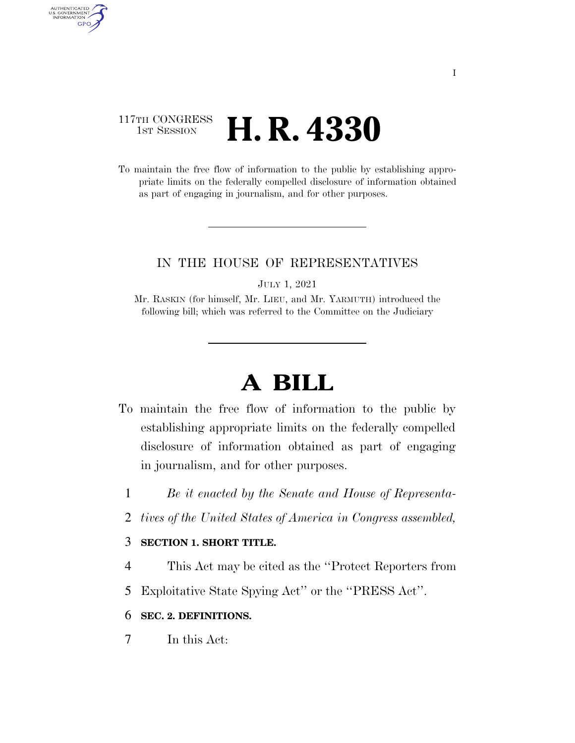### 117TH CONGRESS **1st Session H. R. 4330**

AUTHENTICATED<br>U.S. GOVERNMENT<br>INFORMATION GPO

> To maintain the free flow of information to the public by establishing appropriate limits on the federally compelled disclosure of information obtained as part of engaging in journalism, and for other purposes.

#### IN THE HOUSE OF REPRESENTATIVES

JULY 1, 2021

Mr. RASKIN (for himself, Mr. LIEU, and Mr. YARMUTH) introduced the following bill; which was referred to the Committee on the Judiciary

# **A BILL**

- To maintain the free flow of information to the public by establishing appropriate limits on the federally compelled disclosure of information obtained as part of engaging in journalism, and for other purposes.
	- 1 *Be it enacted by the Senate and House of Representa-*
	- 2 *tives of the United States of America in Congress assembled,*

#### 3 **SECTION 1. SHORT TITLE.**

- 4 This Act may be cited as the ''Protect Reporters from
- 5 Exploitative State Spying Act'' or the ''PRESS Act''.

#### 6 **SEC. 2. DEFINITIONS.**

7 In this Act: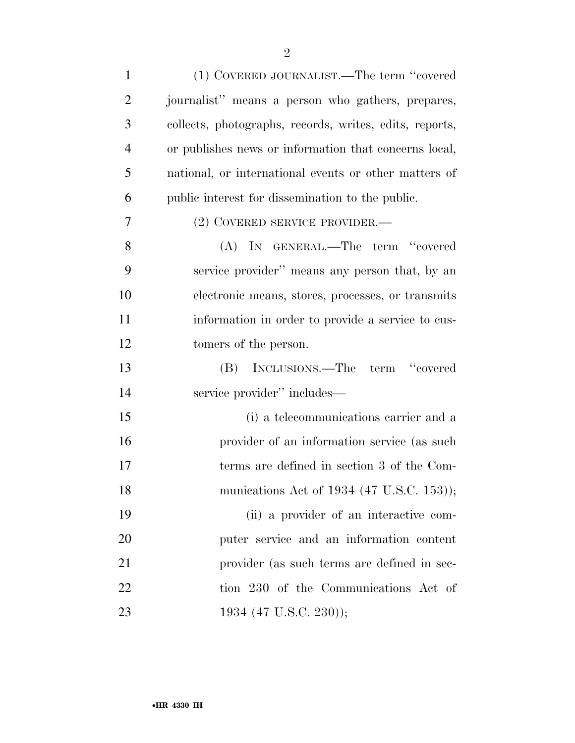| $\mathbf{1}$   | (1) COVERED JOURNALIST.—The term "covered               |
|----------------|---------------------------------------------------------|
| $\overline{2}$ | journalist" means a person who gathers, prepares,       |
| 3              | collects, photographs, records, writes, edits, reports, |
| $\overline{4}$ | or publishes news or information that concerns local,   |
| 5              | national, or international events or other matters of   |
| 6              | public interest for dissemination to the public.        |
| 7              | (2) COVERED SERVICE PROVIDER.—                          |
| 8              | (A) IN GENERAL.—The term "covered                       |
| 9              | service provider" means any person that, by an          |
| 10             | electronic means, stores, processes, or transmits       |
| 11             | information in order to provide a service to cus-       |
| 12             | tomers of the person.                                   |
| 13             | (B) INCLUSIONS.—The term "covered                       |
| 14             | service provider" includes—                             |
| 15             | (i) a telecommunications carrier and a                  |
| 16             | provider of an information service (as such             |
| 17             | terms are defined in section 3 of the Com-              |
| 18             | munications Act of 1934 (47 U.S.C. 153));               |
| 19             | (ii) a provider of an interactive com-                  |
| 20             | puter service and an information content                |
| 21             | provider (as such terms are defined in sec-             |
| 22             | tion 230 of the Communications Act of                   |
| 23             | 1934 (47 U.S.C. 230));                                  |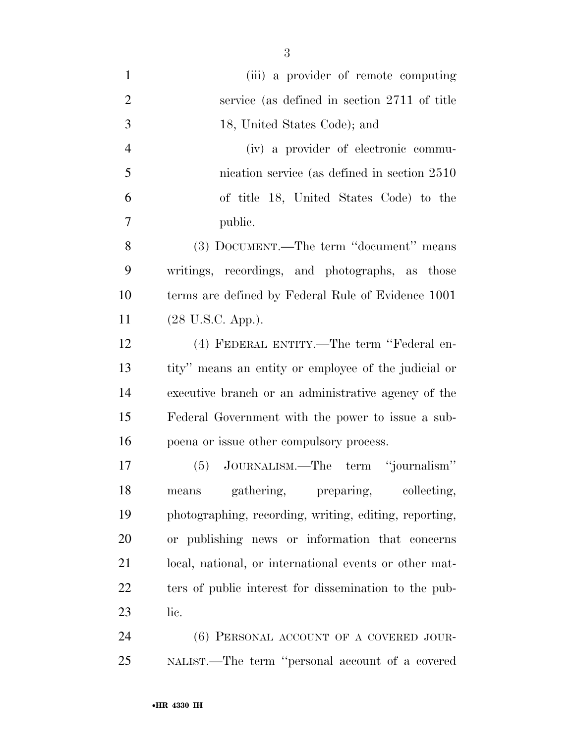| $\mathbf{1}$   | (iii) a provider of remote computing                   |
|----------------|--------------------------------------------------------|
| $\overline{2}$ | service (as defined in section 2711 of title           |
| 3              | 18, United States Code); and                           |
| $\overline{4}$ | (iv) a provider of electronic commu-                   |
| 5              | nication service (as defined in section 2510)          |
| 6              | of title 18, United States Code) to the                |
| 7              | public.                                                |
| 8              | (3) DOCUMENT.—The term "document" means                |
| 9              | writings, recordings, and photographs, as those        |
| 10             | terms are defined by Federal Rule of Evidence 1001     |
| 11             | (28 U.S.C. App.).                                      |
| 12             | (4) FEDERAL ENTITY.—The term "Federal en-              |
| 13             | tity" means an entity or employee of the judicial or   |
| 14             | executive branch or an administrative agency of the    |
| 15             | Federal Government with the power to issue a sub-      |
| 16             | poena or issue other compulsory process.               |
| 17             | (5) JOURNALISM.—The term "journalism"                  |
| 18             | gathering, preparing, collecting,<br>means             |
| 19             | photographing, recording, writing, editing, reporting, |
| 20             | or publishing news or information that concerns        |
| 21             | local, national, or international events or other mat- |
| 22             | ters of public interest for dissemination to the pub-  |
| 23             | lic.                                                   |
| 24             | (6) PERSONAL ACCOUNT OF A COVERED JOUR-                |
| 25             | NALIST.—The term "personal account of a covered        |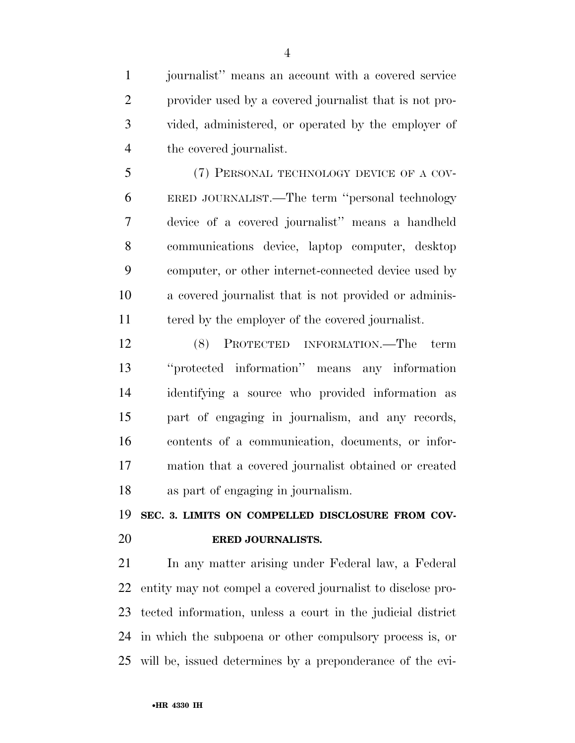journalist'' means an account with a covered service provider used by a covered journalist that is not pro- vided, administered, or operated by the employer of the covered journalist.

 (7) PERSONAL TECHNOLOGY DEVICE OF A COV- ERED JOURNALIST.—The term ''personal technology device of a covered journalist'' means a handheld communications device, laptop computer, desktop computer, or other internet-connected device used by a covered journalist that is not provided or adminis-tered by the employer of the covered journalist.

 (8) PROTECTED INFORMATION.—The term ''protected information'' means any information identifying a source who provided information as part of engaging in journalism, and any records, contents of a communication, documents, or infor- mation that a covered journalist obtained or created as part of engaging in journalism.

**SEC. 3. LIMITS ON COMPELLED DISCLOSURE FROM COV-**

#### **ERED JOURNALISTS.**

 In any matter arising under Federal law, a Federal entity may not compel a covered journalist to disclose pro- tected information, unless a court in the judicial district in which the subpoena or other compulsory process is, or will be, issued determines by a preponderance of the evi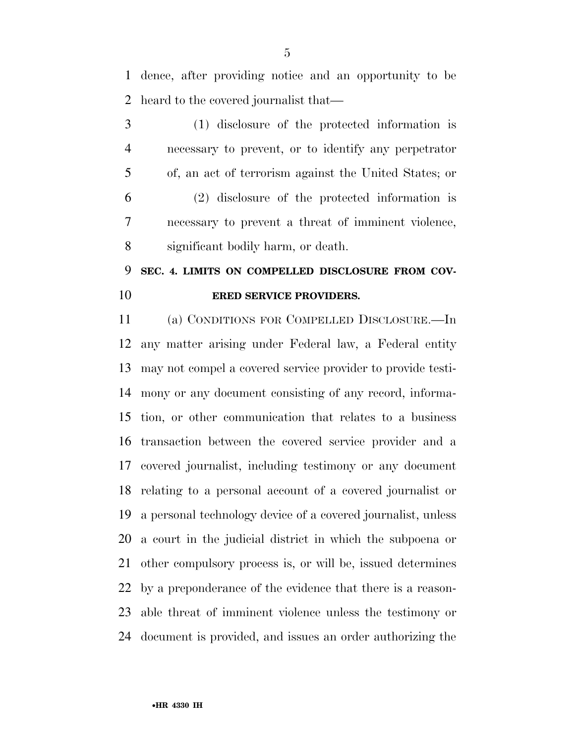dence, after providing notice and an opportunity to be heard to the covered journalist that—

 (1) disclosure of the protected information is necessary to prevent, or to identify any perpetrator of, an act of terrorism against the United States; or (2) disclosure of the protected information is necessary to prevent a threat of imminent violence, significant bodily harm, or death.

## **SEC. 4. LIMITS ON COMPELLED DISCLOSURE FROM COV-ERED SERVICE PROVIDERS.**

 (a) CONDITIONS FOR COMPELLED DISCLOSURE.—In any matter arising under Federal law, a Federal entity may not compel a covered service provider to provide testi- mony or any document consisting of any record, informa- tion, or other communication that relates to a business transaction between the covered service provider and a covered journalist, including testimony or any document relating to a personal account of a covered journalist or a personal technology device of a covered journalist, unless a court in the judicial district in which the subpoena or other compulsory process is, or will be, issued determines by a preponderance of the evidence that there is a reason- able threat of imminent violence unless the testimony or document is provided, and issues an order authorizing the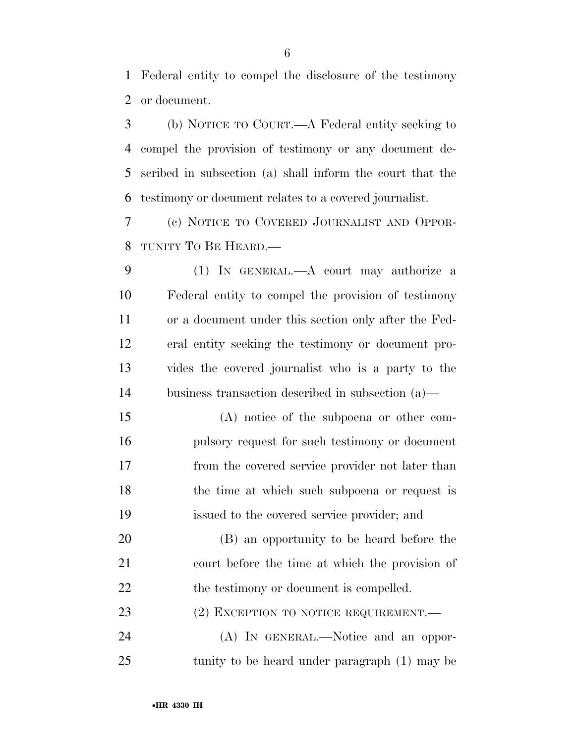Federal entity to compel the disclosure of the testimony or document.

 (b) NOTICE TO COURT.—A Federal entity seeking to compel the provision of testimony or any document de- scribed in subsection (a) shall inform the court that the testimony or document relates to a covered journalist.

 (c) NOTICE TO COVERED JOURNALIST AND OPPOR-TUNITY TO BE HEARD.—

 (1) IN GENERAL.—A court may authorize a Federal entity to compel the provision of testimony or a document under this section only after the Fed- eral entity seeking the testimony or document pro- vides the covered journalist who is a party to the business transaction described in subsection (a)—

 (A) notice of the subpoena or other com- pulsory request for such testimony or document from the covered service provider not later than 18 the time at which such subpoena or request is issued to the covered service provider; and

 (B) an opportunity to be heard before the court before the time at which the provision of 22 the testimony or document is compelled.

23 (2) EXCEPTION TO NOTICE REQUIREMENT.

 (A) IN GENERAL.—Notice and an oppor-tunity to be heard under paragraph (1) may be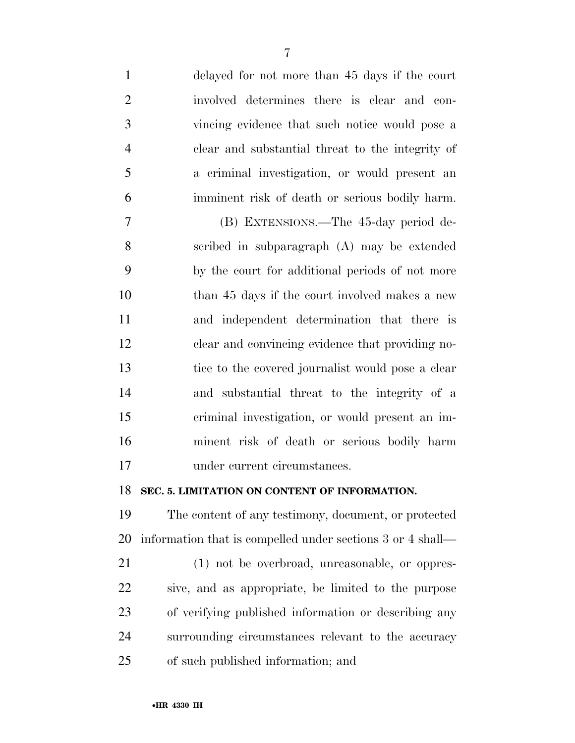| $\mathbf{1}$   | delayed for not more than 45 days if the court             |
|----------------|------------------------------------------------------------|
| $\overline{2}$ | involved determines there is clear and con-                |
| 3              | vincing evidence that such notice would pose a             |
| $\overline{4}$ | clear and substantial threat to the integrity of           |
| 5              | a criminal investigation, or would present an              |
| 6              | imminent risk of death or serious bodily harm.             |
| 7              | (B) EXTENSIONS.—The 45-day period de-                      |
| 8              | scribed in subparagraph (A) may be extended                |
| 9              | by the court for additional periods of not more            |
| 10             | than 45 days if the court involved makes a new             |
| 11             | and independent determination that there is                |
| 12             | clear and convincing evidence that providing no-           |
| 13             | tice to the covered journalist would pose a clear          |
| 14             | and substantial threat to the integrity of a               |
| 15             | criminal investigation, or would present an im-            |
| 16             | minent risk of death or serious bodily harm                |
| 17             | under current circumstances.                               |
| 18             | SEC. 5. LIMITATION ON CONTENT OF INFORMATION.              |
| 19             | The content of any testimony, document, or protected       |
| 20             | information that is compelled under sections 3 or 4 shall— |
| 21             | (1) not be overbroad, unreasonable, or oppres-             |
| 22             | sive, and as appropriate, be limited to the purpose        |
| 23             | of verifying published information or describing any       |
| 24             | surrounding circumstances relevant to the accuracy         |
| 25             | of such published information; and                         |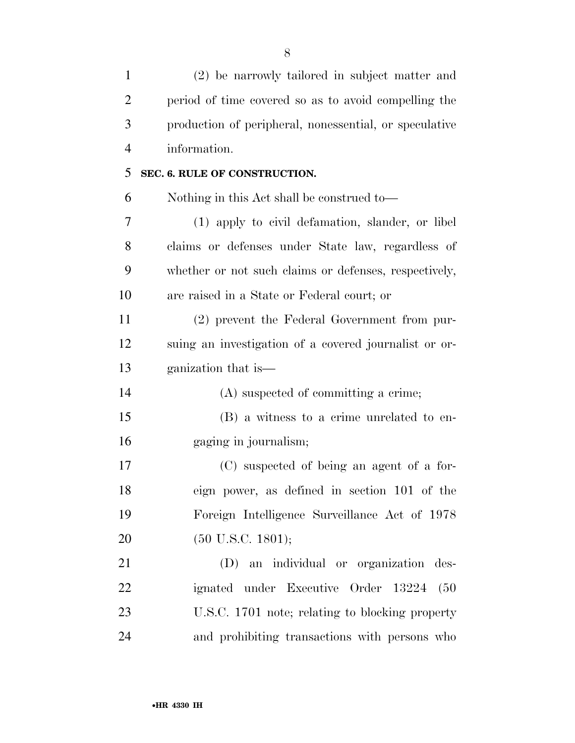| $\mathbf{1}$   | (2) be narrowly tailored in subject matter and         |
|----------------|--------------------------------------------------------|
| $\overline{2}$ | period of time covered so as to avoid compelling the   |
| 3              | production of peripheral, nonessential, or speculative |
| $\overline{4}$ | information.                                           |
| 5              | SEC. 6. RULE OF CONSTRUCTION.                          |
| 6              | Nothing in this Act shall be construed to—             |
| 7              | (1) apply to civil defamation, slander, or libel       |
| 8              | claims or defenses under State law, regardless of      |
| 9              | whether or not such claims or defenses, respectively,  |
| 10             | are raised in a State or Federal court; or             |
| 11             | (2) prevent the Federal Government from pur-           |
| 12             | suing an investigation of a covered journalist or or-  |
| 13             | ganization that is—                                    |
| 14             | (A) suspected of committing a crime;                   |
| 15             | (B) a witness to a crime unrelated to en-              |
| 16             | gaging in journalism;                                  |
| 17             | (C) suspected of being an agent of a for-              |
| 18             | eign power, as defined in section 101 of the           |
| 19             | Foreign Intelligence Surveillance Act of 1978          |
| 20             | $(50 \text{ U.S.C. } 1801);$                           |
| 21             | (D) an individual or organization des-                 |
| 22             | ignated under Executive Order 13224<br>(50)            |
| 23             | U.S.C. 1701 note; relating to blocking property        |
| 24             | and prohibiting transactions with persons who          |